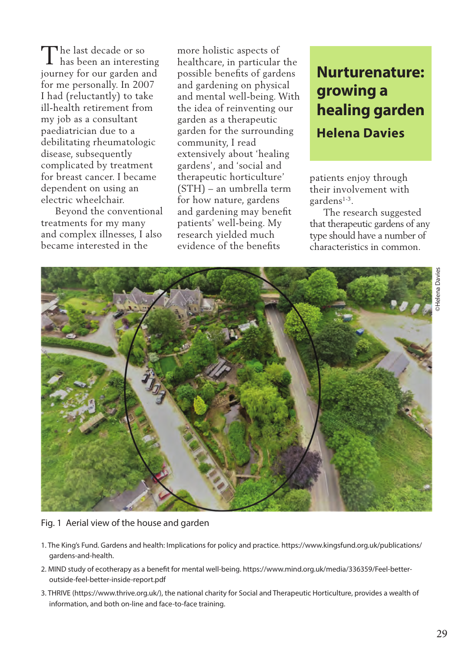The last decade or so<br>
I has been an interesti **L** has been an interesting journey for our garden and for me personally. In 2007 I had (reluctantly) to take ill-health retirement from my job as a consultant paediatrician due to a debilitating rheumatologic disease, subsequently complicated by treatment for breast cancer. I became dependent on using an electric wheelchair.

 Beyond the conventional treatments for my many and complex illnesses, I also became interested in the

more holistic aspects of healthcare, in particular the possible benefits of gardens and gardening on physical and mental well-being. With the idea of reinventing our garden as a therapeutic garden for the surrounding community, I read extensively about 'healing gardens', and 'social and therapeutic horticulture' (STH) – an umbrella term for how nature, gardens and gardening may benefit patients' well-being. My research yielded much evidence of the benefits

## **Nurturenature: growing a healing garden Helena Davies**

patients enjoy through their involvement with gardens1-3.

 The research suggested that therapeutic gardens of any type should have a number of characteristics in common.



Fig. 1 Aerial view of the house and garden

- 1. The King's Fund. Gardens and health: Implications for policy and practice. https://www.kingsfund.org.uk/publications/ gardens-and-health.
- 2. MIND study of ecotherapy as a benefit for mental well-being. https://www.mind.org.uk/media/336359/Feel-betteroutside-feel-better-inside-report.pdf
- 3. THRIVE (https://www.thrive.org.uk/), the national charity for Social and Therapeutic Horticulture, provides a wealth of information, and both on-line and face-to-face training.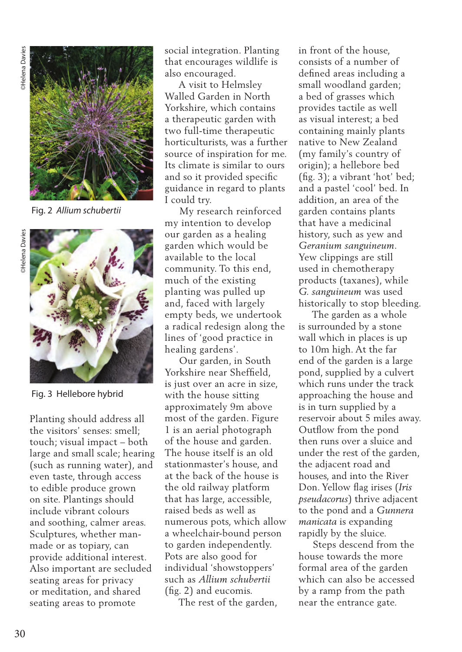

Fig. 2 *Allium schubertii*



Fig. 3 Hellebore hybrid

Planting should address all the visitors' senses: smell; touch; visual impact – both large and small scale; hearing (such as running water), and even taste, through access to edible produce grown on site. Plantings should include vibrant colours and soothing, calmer areas. Sculptures, whether manmade or as topiary, can provide additional interest. Also important are secluded seating areas for privacy or meditation, and shared seating areas to promote

social integration. Planting that encourages wildlife is also encouraged.

 A visit to Helmsley Walled Garden in North Yorkshire, which contains a therapeutic garden with two full-time therapeutic horticulturists, was a further source of inspiration for me. Its climate is similar to ours and so it provided specific guidance in regard to plants I could try.

 My research reinforced my intention to develop our garden as a healing garden which would be available to the local community. To this end, much of the existing planting was pulled up and, faced with largely empty beds, we undertook a radical redesign along the lines of 'good practice in healing gardens'.

 Our garden, in South Yorkshire near Sheffield, is just over an acre in size, with the house sitting approximately 9m above most of the garden. Figure 1 is an aerial photograph of the house and garden. The house itself is an old stationmaster's house, and at the back of the house is the old railway platform that has large, accessible, raised beds as well as numerous pots, which allow a wheelchair-bound person to garden independently. Pots are also good for individual 'showstoppers' such as *Allium schubertii*  (fig. 2) and eucomis.

The rest of the garden,

in front of the house, consists of a number of defined areas including a small woodland garden; a bed of grasses which provides tactile as well as visual interest; a bed containing mainly plants native to New Zealand (my family's country of origin); a hellebore bed (fig. 3); a vibrant 'hot' bed; and a pastel 'cool' bed. In addition, an area of the garden contains plants that have a medicinal history, such as yew and *Geranium sanguineum*. Yew clippings are still used in chemotherapy products (taxanes), while *G. sanguineum* was used historically to stop bleeding.

 The garden as a whole is surrounded by a stone wall which in places is up to 10m high. At the far end of the garden is a large pond, supplied by a culvert which runs under the track approaching the house and is in turn supplied by a reservoir about 5 miles away. Outflow from the pond then runs over a sluice and under the rest of the garden, the adjacent road and houses, and into the River Don. Yellow flag irises (*Iris pseudacorus*) thrive adjacent to the pond and a *Gunnera manicata* is expanding rapidly by the sluice.

 Steps descend from the house towards the more formal area of the garden which can also be accessed by a ramp from the path near the entrance gate.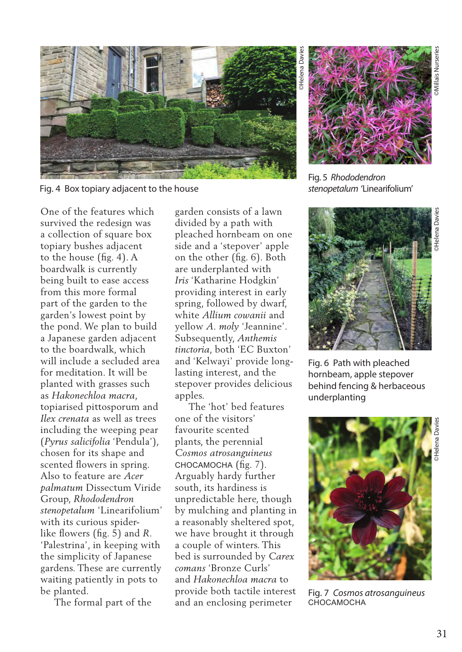

Fig. 4 Box topiary adjacent to the house

One of the features which survived the redesign was a collection of square box topiary bushes adjacent to the house (fig. 4). A boardwalk is currently being built to ease access from this more formal part of the garden to the garden's lowest point by the pond. We plan to build a Japanese garden adjacent to the boardwalk, which will include a secluded area for meditation. It will be planted with grasses such as *Hakonechloa macra*, topiarised pittosporum and *Ilex crenata* as well as trees including the weeping pear (*Pyrus salicifolia* 'Pendula'), chosen for its shape and scented flowers in spring. Also to feature are *Acer palmatum* Dissectum Viride Group, *Rhododendron stenopetalum* 'Linearifolium' with its curious spiderlike flowers (fig. 5) and *R*. 'Palestrina', in keeping with the simplicity of Japanese gardens. These are currently waiting patiently in pots to be planted.

The formal part of the

garden consists of a lawn divided by a path with pleached hornbeam on one side and a 'stepover' apple on the other (fig. 6). Both are underplanted with *Iris* 'Katharine Hodgkin' providing interest in early spring, followed by dwarf, white *Allium cowanii* and yellow *A. moly* 'Jeannine'. Subsequently, *Anthemis tinctoria*, both 'EC Buxton' and 'Kelwayi' provide longlasting interest, and the stepover provides delicious apples.

 The 'hot' bed features one of the visitors' favourite scented plants, the perennial *Cosmos atrosanguineus* CHOCAMOCHA (fig. 7). Arguably hardy further south, its hardiness is unpredictable here, though by mulching and planting in a reasonably sheltered spot, we have brought it through a couple of winters. This bed is surrounded by *Carex comans* 'Bronze Curls' and *Hakonechloa macra* to provide both tactile interest and an enclosing perimeter



Fig. 5 *Rhododendron* 

*stenopetalum* 'Linearifolium'



Fig. 6 Path with pleached hornbeam, apple stepover behind fencing & herbaceous underplanting



Fig. 7 *Cosmos atrosanguineus*  CHOCAMOCHA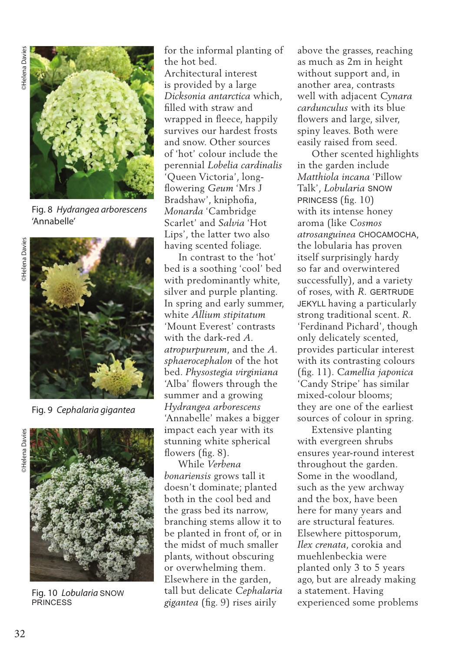

Fig. 8 *Hydrangea arborescens*  'Annabelle'



Fig. 9 *Cephalaria gigantea*



Fig. 10 *Lobularia* SNOW **PRINCESS** 

for the informal planting of the hot bed.

Architectural interest is provided by a large *Dicksonia antarctica* which, filled with straw and wrapped in fleece, happily survives our hardest frosts and snow. Other sources of 'hot' colour include the perennial *Lobelia cardinalis*  'Queen Victoria', longflowering *Geum* 'Mrs J Bradshaw', kniphofia, *Monarda* 'Cambridge Scarlet' and *Salvia* 'Hot Lips', the latter two also having scented foliage.

 In contrast to the 'hot' bed is a soothing 'cool' bed with predominantly white, silver and purple planting. In spring and early summer, white *Allium stipitatum* 'Mount Everest' contrasts with the dark-red *A. atropurpureum*, and the *A. sphaerocephalon* of the hot bed. *Physostegia virginiana* 'Alba' flowers through the summer and a growing *Hydrangea arborescens* 'Annabelle' makes a bigger impact each year with its stunning white spherical flowers (fig. 8).

 While *Verbena bonariensis* grows tall it doesn't dominate; planted both in the cool bed and the grass bed its narrow, branching stems allow it to be planted in front of, or in the midst of much smaller plants, without obscuring or overwhelming them. Elsewhere in the garden, tall but delicate *Cephalaria gigantea* (fig. 9) rises airily

above the grasses, reaching as much as 2m in height without support and, in another area, contrasts well with adjacent *Cynara cardunculus* with its blue flowers and large, silver, spiny leaves. Both were easily raised from seed.

 Other scented highlights in the garden include *Matthiola incana* 'Pillow Talk', *Lobularia* SNOW PRINCESS (fig. 10) with its intense honey aroma (like *Cosmos atrosanguinea* CHOCAMOCHA, the lobularia has proven itself surprisingly hardy so far and overwintered successfully), and a variety of roses, with *R.* GERTRUDE JEKYLL having a particularly strong traditional scent. *R*. 'Ferdinand Pichard', though only delicately scented, provides particular interest with its contrasting colours (fig. 11). *Camellia japonica* 'Candy Stripe' has similar mixed-colour blooms; they are one of the earliest sources of colour in spring.

 Extensive planting with evergreen shrubs ensures year-round interest throughout the garden. Some in the woodland, such as the yew archway and the box, have been here for many years and are structural features. Elsewhere pittosporum, *Ilex crenata*, corokia and muehlenbeckia were planted only 3 to 5 years ago, but are already making a statement. Having experienced some problems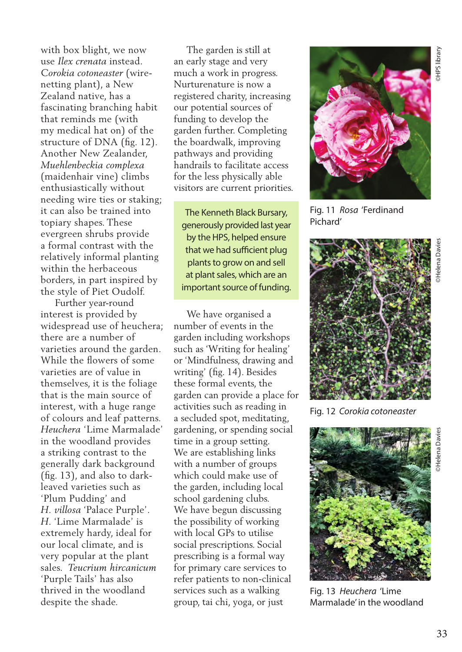with box blight, we now use *Ilex crenata* instead. *Corokia cotoneaster* (wirenetting plant), a New Zealand native, has a fascinating branching habit that reminds me (with my medical hat on) of the structure of DNA (fig. 12). Another New Zealander, *Muehlenbeckia complexa*  (maidenhair vine) climbs enthusiastically without needing wire ties or staking; it can also be trained into topiary shapes. These evergreen shrubs provide a formal contrast with the relatively informal planting within the herbaceous borders, in part inspired by the style of Piet Oudolf.

 Further year-round interest is provided by widespread use of heuchera; there are a number of varieties around the garden. While the flowers of some varieties are of value in themselves, it is the foliage that is the main source of interest, with a huge range of colours and leaf patterns. *Heuchera* 'Lime Marmalade' in the woodland provides a striking contrast to the generally dark background (fig. 13), and also to darkleaved varieties such as 'Plum Pudding' and *H. villosa* 'Palace Purple'. *H.* 'Lime Marmalade' is extremely hardy, ideal for our local climate, and is very popular at the plant sales. *Teucrium hircanicum* 'Purple Tails' has also thrived in the woodland despite the shade.

 The garden is still at an early stage and very much a work in progress. Nurturenature is now a registered charity, increasing our potential sources of funding to develop the garden further. Completing the boardwalk, improving pathways and providing handrails to facilitate access for the less physically able visitors are current priorities.

The Kenneth Black Bursary, generously provided last year by the HPS, helped ensure that we had sufficient plug plants to grow on and sell at plant sales, which are an important source of funding.

 We have organised a number of events in the garden including workshops such as 'Writing for healing' or 'Mindfulness, drawing and writing' (fig. 14). Besides these formal events, the garden can provide a place for activities such as reading in a secluded spot, meditating, gardening, or spending social time in a group setting. We are establishing links with a number of groups which could make use of the garden, including local school gardening clubs. We have begun discussing the possibility of working with local GPs to utilise social prescriptions. Social prescribing is a formal way for primary care services to refer patients to non-clinical services such as a walking group, tai chi, yoga, or just



Fig. 11 *Rosa* 'Ferdinand Pichard'



Fig. 12 *Corokia cotoneaster*



Fig. 13 *Heuchera* 'Lime Marmalade' in the woodland